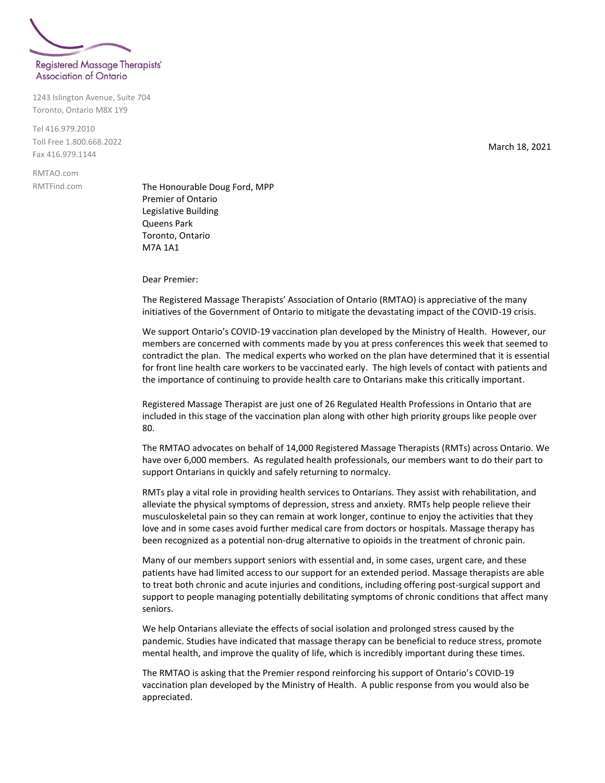

1243 Islington Avenue, Suite 704 Toronto, Ontario M8X 1Y9

Tel 416.979.2010 Toll Free 1.800.668.2022 Fax 416.979.1144

RMTAO.com RMTFind.com

The Honourable Doug Ford, MPP Premier of Ontario Legislative Building Queens Park Toronto, Ontario M7A 1A1

Dear Premier:

The Registered Massage Therapists' Association of Ontario (RMTAO) is appreciative of the many initiatives of the Government of Ontario to mitigate the devastating impact of the COVID-19 crisis.

We support Ontario's COVID-19 vaccination plan developed by the Ministry of Health. However, our members are concerned with comments made by you at press conferences this week that seemed to contradict the plan. The medical experts who worked on the plan have determined that it is essential for front line health care workers to be vaccinated early. The high levels of contact with patients and the importance of continuing to provide health care to Ontarians make this critically important.

Registered Massage Therapist are just one of 26 Regulated Health Professions in Ontario that are included in this stage of the vaccination plan along with other high priority groups like people over 80.

The RMTAO advocates on behalf of 14,000 Registered Massage Therapists (RMTs) across Ontario. We have over 6,000 members. As regulated health professionals, our members want to do their part to support Ontarians in quickly and safely returning to normalcy.

RMTs play a vital role in providing health services to Ontarians. They assist with rehabilitation, and alleviate the physical symptoms of depression, stress and anxiety. RMTs help people relieve their musculoskeletal pain so they can remain at work longer, continue to enjoy the activities that they love and in some cases avoid further medical care from doctors or hospitals. Massage therapy has been recognized as a potential non-drug alternative to opioids in the treatment of chronic pain.

Many of our members support seniors with essential and, in some cases, urgent care, and these patients have had limited access to our support for an extended period. Massage therapists are able to treat both chronic and acute injuries and conditions, including offering post-surgical support and support to people managing potentially debilitating symptoms of chronic conditions that affect many seniors.

We help Ontarians alleviate the effects of social isolation and prolonged stress caused by the pandemic. Studies have indicated that massage therapy can be beneficial to reduce stress, promote mental health, and improve the quality of life, which is incredibly important during these times.

The RMTAO is asking that the Premier respond reinforcing his support of Ontario's COVID-19 vaccination plan developed by the Ministry of Health. A public response from you would also be appreciated.

March 18, 2021